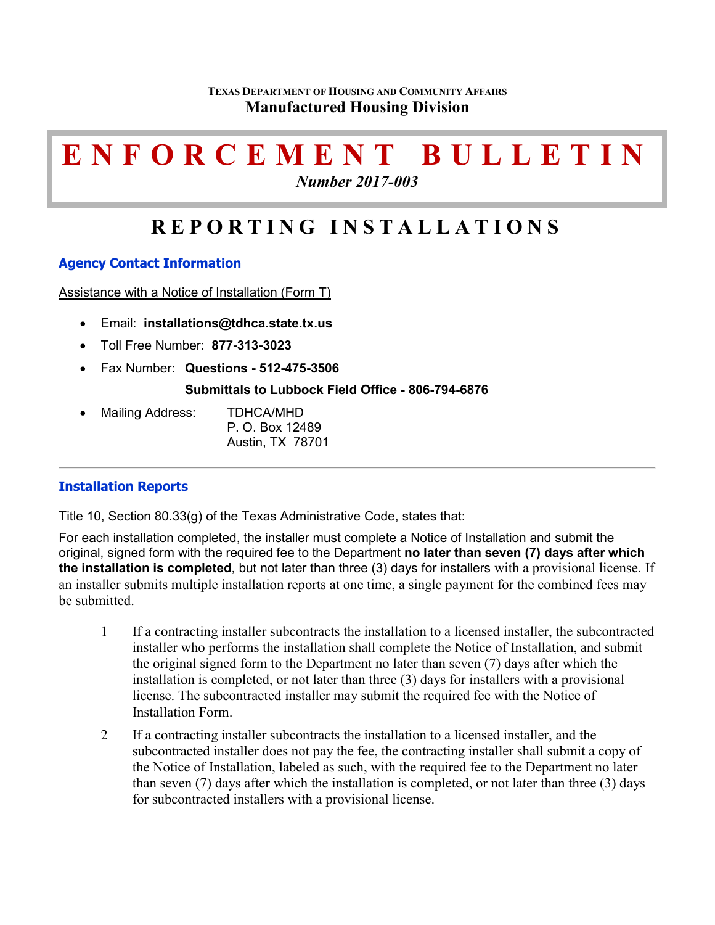# **ENFORCEMENT BULLETIN**

*Number 2017-003*

# **REPORTING INSTALLATIONS**

# **Agency Contact Information**

Assistance with a Notice of Installation (Form T)

- Email: **[installations@tdhca.state.tx.us](mailto:installations@tdhca.state.tx.us)**
- Toll Free Number: **877-313-3023**
- Fax Number: **Questions - 512-475-3506**

### **Submittals to Lubbock Field Office - 806-794-6876**

• Mailing Address: TDHCA/MHD P. O. Box 12489 Austin, TX 78701

# **Installation Reports**

Title 10, Section 80.33(g) of the Texas Administrative Code, states that:

For each installation completed, the installer must complete a Notice of Installation and submit the original, signed form with the required fee to the Department **no later than seven (7) days after which the installation is completed**, but not later than three (3) days for installers with a provisional license. If an installer submits multiple installation reports at one time, a single payment for the combined fees may be submitted.

- 1 If a contracting installer subcontracts the installation to a licensed installer, the subcontracted installer who performs the installation shall complete the Notice of Installation, and submit the original signed form to the Department no later than seven (7) days after which the installation is completed, or not later than three (3) days for installers with a provisional license. The subcontracted installer may submit the required fee with the Notice of Installation Form.
- 2 If a contracting installer subcontracts the installation to a licensed installer, and the subcontracted installer does not pay the fee, the contracting installer shall submit a copy of the Notice of Installation, labeled as such, with the required fee to the Department no later than seven (7) days after which the installation is completed, or not later than three (3) days for subcontracted installers with a provisional license.